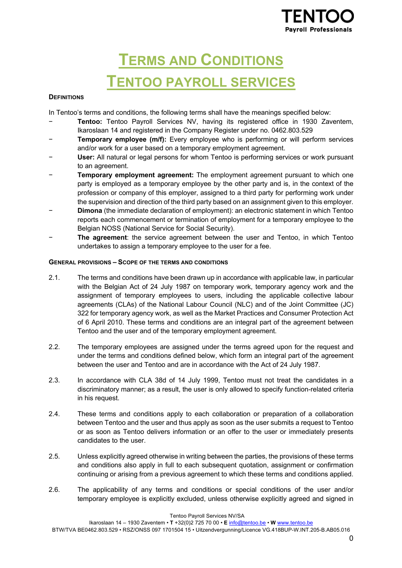

# **TERMS AND CONDITIONS TENTOO PAYROLL SERVICES**

# **DEFINITIONS**

In Tentoo's terms and conditions, the following terms shall have the meanings specified below:

- Tentoo: Tentoo Payroll Services NV, having its registered office in 1930 Zaventem, Ikaroslaan 14 and registered in the Company Register under no. 0462.803.529
- **Temporary employee (m/f):** Every employee who is performing or will perform services and/or work for a user based on a temporary employment agreement.
- − **User:** All natural or legal persons for whom Tentoo is performing services or work pursuant to an agreement.
- **Temporary employment agreement:** The employment agreement pursuant to which one party is employed as a temporary employee by the other party and is, in the context of the profession or company of this employer, assigned to a third party for performing work under the supervision and direction of the third party based on an assignment given to this employer.
- − **Dimona** (the immediate declaration of employment): an electronic statement in which Tentoo reports each commencement or termination of employment for a temporary employee to the Belgian NOSS (National Service for Social Security).
- − **The agreement**: the service agreement between the user and Tentoo, in which Tentoo undertakes to assign a temporary employee to the user for a fee.

# **GENERAL PROVISIONS – SCOPE OF THE TERMS AND CONDITIONS**

- 2.1. The terms and conditions have been drawn up in accordance with applicable law, in particular with the Belgian Act of 24 July 1987 on temporary work, temporary agency work and the assignment of temporary employees to users, including the applicable collective labour agreements (CLAs) of the National Labour Council (NLC) and of the Joint Committee (JC) 322 for temporary agency work, as well as the Market Practices and Consumer Protection Act of 6 April 2010. These terms and conditions are an integral part of the agreement between Tentoo and the user and of the temporary employment agreement.
- 2.2. The temporary employees are assigned under the terms agreed upon for the request and under the terms and conditions defined below, which form an integral part of the agreement between the user and Tentoo and are in accordance with the Act of 24 July 1987.
- 2.3. In accordance with CLA 38d of 14 July 1999, Tentoo must not treat the candidates in a discriminatory manner; as a result, the user is only allowed to specify function-related criteria in his request.
- 2.4. These terms and conditions apply to each collaboration or preparation of a collaboration between Tentoo and the user and thus apply as soon as the user submits a request to Tentoo or as soon as Tentoo delivers information or an offer to the user or immediately presents candidates to the user.
- 2.5. Unless explicitly agreed otherwise in writing between the parties, the provisions of these terms and conditions also apply in full to each subsequent quotation, assignment or confirmation continuing or arising from a previous agreement to which these terms and conditions applied.
- 2.6. The applicability of any terms and conditions or special conditions of the user and/or temporary employee is explicitly excluded, unless otherwise explicitly agreed and signed in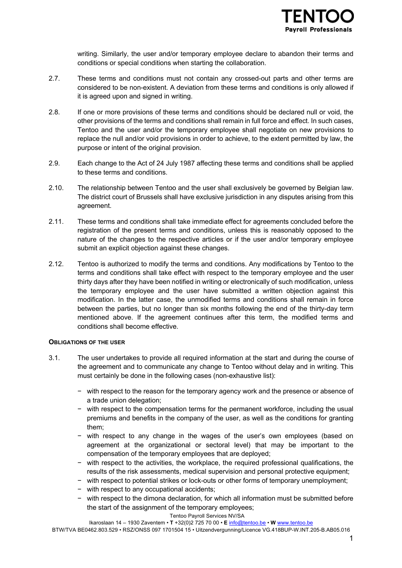writing. Similarly, the user and/or temporary employee declare to abandon their terms and conditions or special conditions when starting the collaboration.

- 2.7. These terms and conditions must not contain any crossed-out parts and other terms are considered to be non-existent. A deviation from these terms and conditions is only allowed if it is agreed upon and signed in writing.
- 2.8. If one or more provisions of these terms and conditions should be declared null or void, the other provisions of the terms and conditions shall remain in full force and effect. In such cases, Tentoo and the user and/or the temporary employee shall negotiate on new provisions to replace the null and/or void provisions in order to achieve, to the extent permitted by law, the purpose or intent of the original provision.
- 2.9. Each change to the Act of 24 July 1987 affecting these terms and conditions shall be applied to these terms and conditions.
- 2.10. The relationship between Tentoo and the user shall exclusively be governed by Belgian law. The district court of Brussels shall have exclusive jurisdiction in any disputes arising from this agreement.
- 2.11. These terms and conditions shall take immediate effect for agreements concluded before the registration of the present terms and conditions, unless this is reasonably opposed to the nature of the changes to the respective articles or if the user and/or temporary employee submit an explicit objection against these changes.
- 2.12. Tentoo is authorized to modify the terms and conditions. Any modifications by Tentoo to the terms and conditions shall take effect with respect to the temporary employee and the user thirty days after they have been notified in writing or electronically of such modification, unless the temporary employee and the user have submitted a written objection against this modification. In the latter case, the unmodified terms and conditions shall remain in force between the parties, but no longer than six months following the end of the thirty-day term mentioned above. If the agreement continues after this term, the modified terms and conditions shall become effective.

# **OBLIGATIONS OF THE USER**

- 3.1. The user undertakes to provide all required information at the start and during the course of the agreement and to communicate any change to Tentoo without delay and in writing. This must certainly be done in the following cases (non-exhaustive list):
	- − with respect to the reason for the temporary agency work and the presence or absence of a trade union delegation;
	- − with respect to the compensation terms for the permanent workforce, including the usual premiums and benefits in the company of the user, as well as the conditions for granting them;
	- − with respect to any change in the wages of the user's own employees (based on agreement at the organizational or sectoral level) that may be important to the compensation of the temporary employees that are deployed;
	- − with respect to the activities, the workplace, the required professional qualifications, the results of the risk assessments, medical supervision and personal protective equipment;
	- − with respect to potential strikes or lock-outs or other forms of temporary unemployment;
	- − with respect to any occupational accidents;
	- − with respect to the dimona declaration, for which all information must be submitted before the start of the assignment of the temporary employees;

Tentoo Payroll Services NV/SA Ikaroslaan 14 – 1930 Zaventem • **T** +32(0)2 725 70 00 • **E** info@tentoo.be • **W** www.tentoo.be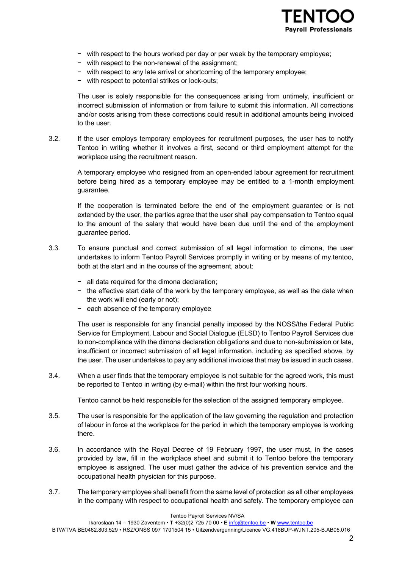

- − with respect to the hours worked per day or per week by the temporary employee;
- − with respect to the non-renewal of the assignment;
- − with respect to any late arrival or shortcoming of the temporary employee;
- with respect to potential strikes or lock-outs;

The user is solely responsible for the consequences arising from untimely, insufficient or incorrect submission of information or from failure to submit this information. All corrections and/or costs arising from these corrections could result in additional amounts being invoiced to the user.

3.2. If the user employs temporary employees for recruitment purposes, the user has to notify Tentoo in writing whether it involves a first, second or third employment attempt for the workplace using the recruitment reason.

A temporary employee who resigned from an open-ended labour agreement for recruitment before being hired as a temporary employee may be entitled to a 1-month employment guarantee.

If the cooperation is terminated before the end of the employment guarantee or is not extended by the user, the parties agree that the user shall pay compensation to Tentoo equal to the amount of the salary that would have been due until the end of the employment guarantee period.

- 3.3. To ensure punctual and correct submission of all legal information to dimona, the user undertakes to inform Tentoo Payroll Services promptly in writing or by means of my.tentoo, both at the start and in the course of the agreement, about:
	- − all data required for the dimona declaration;
	- − the effective start date of the work by the temporary employee, as well as the date when the work will end (early or not);
	- − each absence of the temporary employee

The user is responsible for any financial penalty imposed by the NOSS/the Federal Public Service for Employment, Labour and Social Dialogue (ELSD) to Tentoo Payroll Services due to non-compliance with the dimona declaration obligations and due to non-submission or late, insufficient or incorrect submission of all legal information, including as specified above, by the user. The user undertakes to pay any additional invoices that may be issued in such cases.

3.4. When a user finds that the temporary employee is not suitable for the agreed work, this must be reported to Tentoo in writing (by e-mail) within the first four working hours.

Tentoo cannot be held responsible for the selection of the assigned temporary employee.

- 3.5. The user is responsible for the application of the law governing the regulation and protection of labour in force at the workplace for the period in which the temporary employee is working there.
- 3.6. In accordance with the Royal Decree of 19 February 1997, the user must, in the cases provided by law, fill in the workplace sheet and submit it to Tentoo before the temporary employee is assigned. The user must gather the advice of his prevention service and the occupational health physician for this purpose.
- 3.7. The temporary employee shall benefit from the same level of protection as all other employees in the company with respect to occupational health and safety. The temporary employee can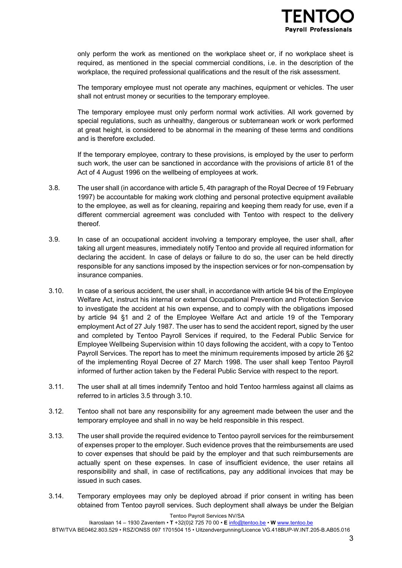

only perform the work as mentioned on the workplace sheet or, if no workplace sheet is required, as mentioned in the special commercial conditions, i.e. in the description of the workplace, the required professional qualifications and the result of the risk assessment.

The temporary employee must not operate any machines, equipment or vehicles. The user shall not entrust money or securities to the temporary employee.

The temporary employee must only perform normal work activities. All work governed by special regulations, such as unhealthy, dangerous or subterranean work or work performed at great height, is considered to be abnormal in the meaning of these terms and conditions and is therefore excluded.

If the temporary employee, contrary to these provisions, is employed by the user to perform such work, the user can be sanctioned in accordance with the provisions of article 81 of the Act of 4 August 1996 on the wellbeing of employees at work.

- 3.8. The user shall (in accordance with article 5, 4th paragraph of the Royal Decree of 19 February 1997) be accountable for making work clothing and personal protective equipment available to the employee, as well as for cleaning, repairing and keeping them ready for use, even if a different commercial agreement was concluded with Tentoo with respect to the delivery thereof.
- 3.9. In case of an occupational accident involving a temporary employee, the user shall, after taking all urgent measures, immediately notify Tentoo and provide all required information for declaring the accident. In case of delays or failure to do so, the user can be held directly responsible for any sanctions imposed by the inspection services or for non-compensation by insurance companies.
- 3.10. In case of a serious accident, the user shall, in accordance with article 94 bis of the Employee Welfare Act, instruct his internal or external Occupational Prevention and Protection Service to investigate the accident at his own expense, and to comply with the obligations imposed by article 94 §1 and 2 of the Employee Welfare Act and article 19 of the Temporary employment Act of 27 July 1987. The user has to send the accident report, signed by the user and completed by Tentoo Payroll Services if required, to the Federal Public Service for Employee Wellbeing Supervision within 10 days following the accident, with a copy to Tentoo Payroll Services. The report has to meet the minimum requirements imposed by article 26 §2 of the implementing Royal Decree of 27 March 1998. The user shall keep Tentoo Payroll informed of further action taken by the Federal Public Service with respect to the report.
- 3.11. The user shall at all times indemnify Tentoo and hold Tentoo harmless against all claims as referred to in articles 3.5 through 3.10.
- 3.12. Tentoo shall not bare any responsibility for any agreement made between the user and the temporary employee and shall in no way be held responsible in this respect.
- 3.13. The user shall provide the required evidence to Tentoo payroll services for the reimbursement of expenses proper to the employer. Such evidence proves that the reimbursements are used to cover expenses that should be paid by the employer and that such reimbursements are actually spent on these expenses. In case of insufficient evidence, the user retains all responsibility and shall, in case of rectifications, pay any additional invoices that may be issued in such cases.
- 3.14. Temporary employees may only be deployed abroad if prior consent in writing has been obtained from Tentoo payroll services. Such deployment shall always be under the Belgian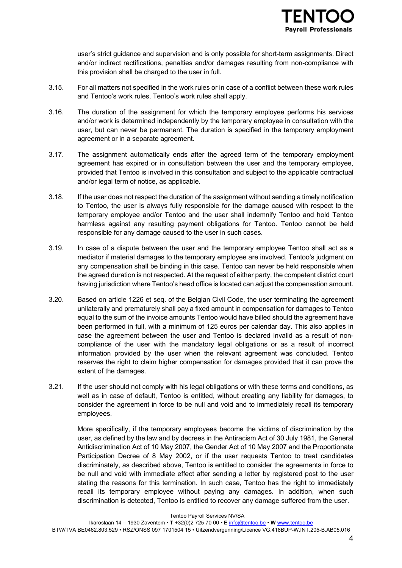user's strict guidance and supervision and is only possible for short-term assignments. Direct and/or indirect rectifications, penalties and/or damages resulting from non-compliance with this provision shall be charged to the user in full.

- 3.15. For all matters not specified in the work rules or in case of a conflict between these work rules and Tentoo's work rules, Tentoo's work rules shall apply.
- 3.16. The duration of the assignment for which the temporary employee performs his services and/or work is determined independently by the temporary employee in consultation with the user, but can never be permanent. The duration is specified in the temporary employment agreement or in a separate agreement.
- 3.17. The assignment automatically ends after the agreed term of the temporary employment agreement has expired or in consultation between the user and the temporary employee, provided that Tentoo is involved in this consultation and subject to the applicable contractual and/or legal term of notice, as applicable.
- 3.18. If the user does not respect the duration of the assignment without sending a timely notification to Tentoo, the user is always fully responsible for the damage caused with respect to the temporary employee and/or Tentoo and the user shall indemnify Tentoo and hold Tentoo harmless against any resulting payment obligations for Tentoo. Tentoo cannot be held responsible for any damage caused to the user in such cases.
- 3.19. In case of a dispute between the user and the temporary employee Tentoo shall act as a mediator if material damages to the temporary employee are involved. Tentoo's judgment on any compensation shall be binding in this case. Tentoo can never be held responsible when the agreed duration is not respected. At the request of either party, the competent district court having jurisdiction where Tentoo's head office is located can adjust the compensation amount.
- 3.20. Based on article 1226 et seq. of the Belgian Civil Code, the user terminating the agreement unilaterally and prematurely shall pay a fixed amount in compensation for damages to Tentoo equal to the sum of the invoice amounts Tentoo would have billed should the agreement have been performed in full, with a minimum of 125 euros per calendar day. This also applies in case the agreement between the user and Tentoo is declared invalid as a result of noncompliance of the user with the mandatory legal obligations or as a result of incorrect information provided by the user when the relevant agreement was concluded. Tentoo reserves the right to claim higher compensation for damages provided that it can prove the extent of the damages.
- 3.21. If the user should not comply with his legal obligations or with these terms and conditions, as well as in case of default, Tentoo is entitled, without creating any liability for damages, to consider the agreement in force to be null and void and to immediately recall its temporary employees.

More specifically, if the temporary employees become the victims of discrimination by the user, as defined by the law and by decrees in the Antiracism Act of 30 July 1981, the General Antidiscrimination Act of 10 May 2007, the Gender Act of 10 May 2007 and the Proportionate Participation Decree of 8 May 2002, or if the user requests Tentoo to treat candidates discriminately, as described above, Tentoo is entitled to consider the agreements in force to be null and void with immediate effect after sending a letter by registered post to the user stating the reasons for this termination. In such case, Tentoo has the right to immediately recall its temporary employee without paying any damages. In addition, when such discrimination is detected, Tentoo is entitled to recover any damage suffered from the user.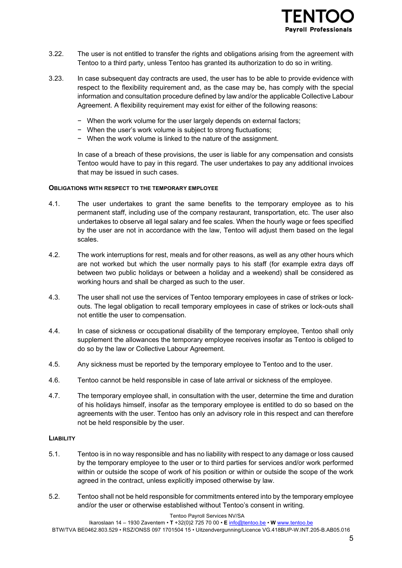

- 3.22. The user is not entitled to transfer the rights and obligations arising from the agreement with Tentoo to a third party, unless Tentoo has granted its authorization to do so in writing.
- 3.23. In case subsequent day contracts are used, the user has to be able to provide evidence with respect to the flexibility requirement and, as the case may be, has comply with the special information and consultation procedure defined by law and/or the applicable Collective Labour Agreement. A flexibility requirement may exist for either of the following reasons:
	- − When the work volume for the user largely depends on external factors;
	- − When the user's work volume is subject to strong fluctuations;
	- − When the work volume is linked to the nature of the assignment.

In case of a breach of these provisions, the user is liable for any compensation and consists Tentoo would have to pay in this regard. The user undertakes to pay any additional invoices that may be issued in such cases.

## **OBLIGATIONS WITH RESPECT TO THE TEMPORARY EMPLOYEE**

- 4.1. The user undertakes to grant the same benefits to the temporary employee as to his permanent staff, including use of the company restaurant, transportation, etc. The user also undertakes to observe all legal salary and fee scales. When the hourly wage or fees specified by the user are not in accordance with the law, Tentoo will adjust them based on the legal scales.
- 4.2. The work interruptions for rest, meals and for other reasons, as well as any other hours which are not worked but which the user normally pays to his staff (for example extra days off between two public holidays or between a holiday and a weekend) shall be considered as working hours and shall be charged as such to the user.
- 4.3. The user shall not use the services of Tentoo temporary employees in case of strikes or lockouts. The legal obligation to recall temporary employees in case of strikes or lock-outs shall not entitle the user to compensation.
- 4.4. In case of sickness or occupational disability of the temporary employee, Tentoo shall only supplement the allowances the temporary employee receives insofar as Tentoo is obliged to do so by the law or Collective Labour Agreement.
- 4.5. Any sickness must be reported by the temporary employee to Tentoo and to the user.
- 4.6. Tentoo cannot be held responsible in case of late arrival or sickness of the employee.
- 4.7. The temporary employee shall, in consultation with the user, determine the time and duration of his holidays himself, insofar as the temporary employee is entitled to do so based on the agreements with the user. Tentoo has only an advisory role in this respect and can therefore not be held responsible by the user.

#### **LIABILITY**

- 5.1. Tentoo is in no way responsible and has no liability with respect to any damage or loss caused by the temporary employee to the user or to third parties for services and/or work performed within or outside the scope of work of his position or within or outside the scope of the work agreed in the contract, unless explicitly imposed otherwise by law.
- 5.2. Tentoo shall not be held responsible for commitments entered into by the temporary employee and/or the user or otherwise established without Tentoo's consent in writing.

#### Tentoo Payroll Services NV/SA

Ikaroslaan 14 – 1930 Zaventem • **T** +32(0)2 725 70 00 • **E** info@tentoo.be • **W** www.tentoo.be BTW/TVA BE0462.803.529 • RSZ/ONSS 097 1701504 15 • Uitzendvergunning/Licence VG.418BUP-W.INT.205-B.AB05.016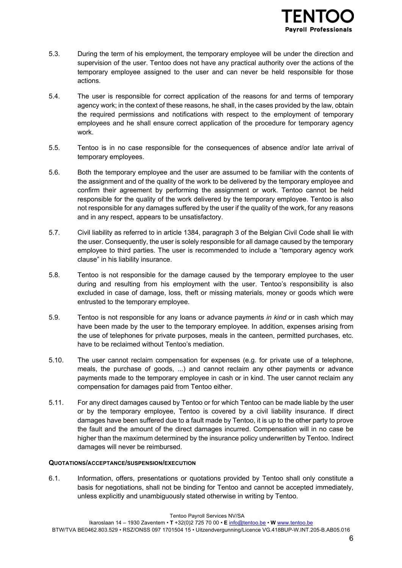- 5.3. During the term of his employment, the temporary employee will be under the direction and supervision of the user. Tentoo does not have any practical authority over the actions of the temporary employee assigned to the user and can never be held responsible for those actions.
- 5.4. The user is responsible for correct application of the reasons for and terms of temporary agency work; in the context of these reasons, he shall, in the cases provided by the law, obtain the required permissions and notifications with respect to the employment of temporary employees and he shall ensure correct application of the procedure for temporary agency work.
- 5.5. Tentoo is in no case responsible for the consequences of absence and/or late arrival of temporary employees.
- 5.6. Both the temporary employee and the user are assumed to be familiar with the contents of the assignment and of the quality of the work to be delivered by the temporary employee and confirm their agreement by performing the assignment or work. Tentoo cannot be held responsible for the quality of the work delivered by the temporary employee. Tentoo is also not responsible for any damages suffered by the user if the quality of the work, for any reasons and in any respect, appears to be unsatisfactory.
- 5.7. Civil liability as referred to in article 1384, paragraph 3 of the Belgian Civil Code shall lie with the user. Consequently, the user is solely responsible for all damage caused by the temporary employee to third parties. The user is recommended to include a "temporary agency work clause" in his liability insurance.
- 5.8. Tentoo is not responsible for the damage caused by the temporary employee to the user during and resulting from his employment with the user. Tentoo's responsibility is also excluded in case of damage, loss, theft or missing materials, money or goods which were entrusted to the temporary employee.
- 5.9. Tentoo is not responsible for any loans or advance payments *in kind* or in cash which may have been made by the user to the temporary employee. In addition, expenses arising from the use of telephones for private purposes, meals in the canteen, permitted purchases, etc. have to be reclaimed without Tentoo's mediation.
- 5.10. The user cannot reclaim compensation for expenses (e.g. for private use of a telephone, meals, the purchase of goods, ...) and cannot reclaim any other payments or advance payments made to the temporary employee in cash or in kind. The user cannot reclaim any compensation for damages paid from Tentoo either.
- 5.11. For any direct damages caused by Tentoo or for which Tentoo can be made liable by the user or by the temporary employee, Tentoo is covered by a civil liability insurance. If direct damages have been suffered due to a fault made by Tentoo, it is up to the other party to prove the fault and the amount of the direct damages incurred. Compensation will in no case be higher than the maximum determined by the insurance policy underwritten by Tentoo. Indirect damages will never be reimbursed.

# **QUOTATIONS/ACCEPTANCE/SUSPENSION/EXECUTION**

6.1. Information, offers, presentations or quotations provided by Tentoo shall only constitute a basis for negotiations, shall not be binding for Tentoo and cannot be accepted immediately, unless explicitly and unambiguously stated otherwise in writing by Tentoo.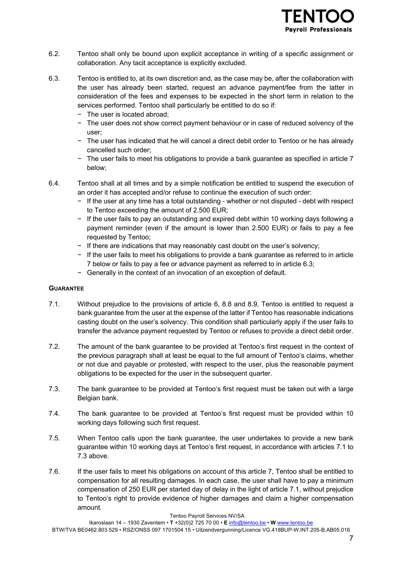

- 6.2. Tentoo shall only be bound upon explicit acceptance in writing of a specific assignment or collaboration. Any tacit acceptance is explicitly excluded.
- 6.3. Tentoo is entitled to, at its own discretion and, as the case may be, after the collaboration with the user has already been started, request an advance payment/fee from the latter in consideration of the fees and expenses to be expected in the short term in relation to the services performed. Tentoo shall particularly be entitled to do so if:
	- − The user is located abroad;
	- − The user does not show correct payment behaviour or in case of reduced solvency of the user;
	- − The user has indicated that he will cancel a direct debit order to Tentoo or he has already cancelled such order;
	- − The user fails to meet his obligations to provide a bank guarantee as specified in article 7 below;
- 6.4. Tentoo shall at all times and by a simple notification be entitled to suspend the execution of an order it has accepted and/or refuse to continue the execution of such order:
	- − If the user at any time has a total outstanding whether or not disputed debt with respect to Tentoo exceeding the amount of 2.500 EUR;
	- − If the user fails to pay an outstanding and expired debt within 10 working days following a payment reminder (even if the amount is lower than 2.500 EUR) or fails to pay a fee requested by Tentoo;
	- − If there are indications that may reasonably cast doubt on the user's solvency;
	- − If the user fails to meet his obligations to provide a bank guarantee as referred to in article 7 below or fails to pay a fee or advance payment as referred to in article 6.3;
	- − Generally in the context of an invocation of an exception of default.

# **GUARANTEE**

- 7.1. Without prejudice to the provisions of article 6, 8.8 and 8.9, Tentoo is entitled to request a bank guarantee from the user at the expense of the latter if Tentoo has reasonable indications casting doubt on the user's solvency. This condition shall particularly apply if the user fails to transfer the advance payment requested by Tentoo or refuses to provide a direct debit order.
- 7.2. The amount of the bank guarantee to be provided at Tentoo's first request in the context of the previous paragraph shall at least be equal to the full amount of Tentoo's claims, whether or not due and payable or protested, with respect to the user, plus the reasonable payment obligations to be expected for the user in the subsequent quarter.
- 7.3. The bank guarantee to be provided at Tentoo's first request must be taken out with a large Belgian bank.
- 7.4. The bank guarantee to be provided at Tentoo's first request must be provided within 10 working days following such first request.
- 7.5. When Tentoo calls upon the bank guarantee, the user undertakes to provide a new bank guarantee within 10 working days at Tentoo's first request, in accordance with articles 7.1 to 7.3 above.
- 7.6. If the user fails to meet his obligations on account of this article 7, Tentoo shall be entitled to compensation for all resulting damages. In each case, the user shall have to pay a minimum compensation of 250 EUR per started day of delay in the light of article 7.1, without prejudice to Tentoo's right to provide evidence of higher damages and claim a higher compensation amount.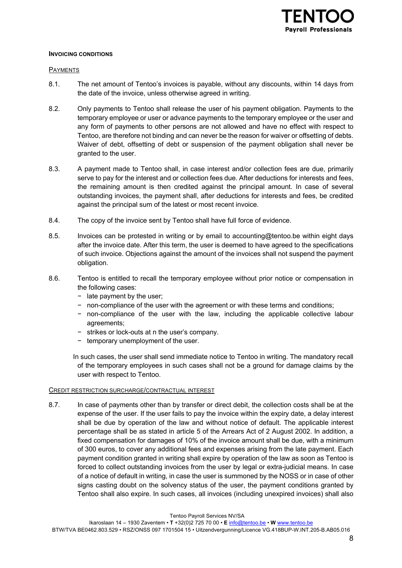## **INVOICING CONDITIONS**

## PAYMENTS

- 8.1. The net amount of Tentoo's invoices is payable, without any discounts, within 14 days from the date of the invoice, unless otherwise agreed in writing.
- 8.2. Only payments to Tentoo shall release the user of his payment obligation. Payments to the temporary employee or user or advance payments to the temporary employee or the user and any form of payments to other persons are not allowed and have no effect with respect to Tentoo, are therefore not binding and can never be the reason for waiver or offsetting of debts. Waiver of debt, offsetting of debt or suspension of the payment obligation shall never be granted to the user.
- 8.3. A payment made to Tentoo shall, in case interest and/or collection fees are due, primarily serve to pay for the interest and or collection fees due. After deductions for interests and fees, the remaining amount is then credited against the principal amount. In case of several outstanding invoices, the payment shall, after deductions for interests and fees, be credited against the principal sum of the latest or most recent invoice.
- 8.4. The copy of the invoice sent by Tentoo shall have full force of evidence.
- 8.5. Invoices can be protested in writing or by email to accounting@tentoo.be within eight days after the invoice date. After this term, the user is deemed to have agreed to the specifications of such invoice. Objections against the amount of the invoices shall not suspend the payment obligation.
- 8.6. Tentoo is entitled to recall the temporary employee without prior notice or compensation in the following cases:
	- − late payment by the user;
	- − non-compliance of the user with the agreement or with these terms and conditions;
	- − non-compliance of the user with the law, including the applicable collective labour agreements;
	- − strikes or lock-outs at n the user's company.
	- − temporary unemployment of the user.
	- In such cases, the user shall send immediate notice to Tentoo in writing. The mandatory recall of the temporary employees in such cases shall not be a ground for damage claims by the user with respect to Tentoo.

#### CREDIT RESTRICTION SURCHARGE/CONTRACTUAL INTEREST

8.7. In case of payments other than by transfer or direct debit, the collection costs shall be at the expense of the user. If the user fails to pay the invoice within the expiry date, a delay interest shall be due by operation of the law and without notice of default. The applicable interest percentage shall be as stated in article 5 of the Arrears Act of 2 August 2002. In addition, a fixed compensation for damages of 10% of the invoice amount shall be due, with a minimum of 300 euros, to cover any additional fees and expenses arising from the late payment. Each payment condition granted in writing shall expire by operation of the law as soon as Tentoo is forced to collect outstanding invoices from the user by legal or extra-judicial means. In case of a notice of default in writing, in case the user is summoned by the NOSS or in case of other signs casting doubt on the solvency status of the user, the payment conditions granted by Tentoo shall also expire. In such cases, all invoices (including unexpired invoices) shall also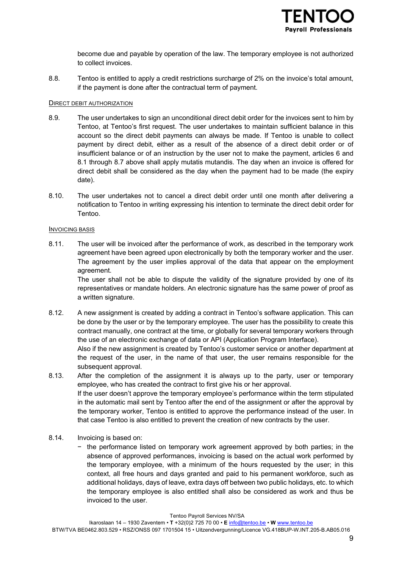

become due and payable by operation of the law. The temporary employee is not authorized to collect invoices.

8.8. Tentoo is entitled to apply a credit restrictions surcharge of 2% on the invoice's total amount, if the payment is done after the contractual term of payment.

## DIRECT DEBIT AUTHORIZATION

- 8.9. The user undertakes to sign an unconditional direct debit order for the invoices sent to him by Tentoo, at Tentoo's first request. The user undertakes to maintain sufficient balance in this account so the direct debit payments can always be made. If Tentoo is unable to collect payment by direct debit, either as a result of the absence of a direct debit order or of insufficient balance or of an instruction by the user not to make the payment, articles 6 and 8.1 through 8.7 above shall apply mutatis mutandis. The day when an invoice is offered for direct debit shall be considered as the day when the payment had to be made (the expiry date).
- 8.10. The user undertakes not to cancel a direct debit order until one month after delivering a notification to Tentoo in writing expressing his intention to terminate the direct debit order for Tentoo.

#### INVOICING BASIS

8.11. The user will be invoiced after the performance of work, as described in the temporary work agreement have been agreed upon electronically by both the temporary worker and the user. The agreement by the user implies approval of the data that appear on the employment agreement.

The user shall not be able to dispute the validity of the signature provided by one of its representatives or mandate holders. An electronic signature has the same power of proof as a written signature.

8.12. A new assignment is created by adding a contract in Tentoo's software application. This can be done by the user or by the temporary employee. The user has the possibility to create this contract manually, one contract at the time, or globally for several temporary workers through the use of an electronic exchange of data or API (Application Program Interface).

Also if the new assignment is created by Tentoo's customer service or another department at the request of the user, in the name of that user, the user remains responsible for the subsequent approval.

- 8.13. After the completion of the assignment it is always up to the party, user or temporary employee, who has created the contract to first give his or her approval. If the user doesn't approve the temporary employee's performance within the term stipulated in the automatic mail sent by Tentoo after the end of the assignment or after the approval by the temporary worker, Tentoo is entitled to approve the performance instead of the user. In that case Tentoo is also entitled to prevent the creation of new contracts by the user.
- 8.14. Invoicing is based on:
	- − the performance listed on temporary work agreement approved by both parties; in the absence of approved performances, invoicing is based on the actual work performed by the temporary employee, with a minimum of the hours requested by the user; in this context, all free hours and days granted and paid to his permanent workforce, such as additional holidays, days of leave, extra days off between two public holidays, etc. to which the temporary employee is also entitled shall also be considered as work and thus be invoiced to the user.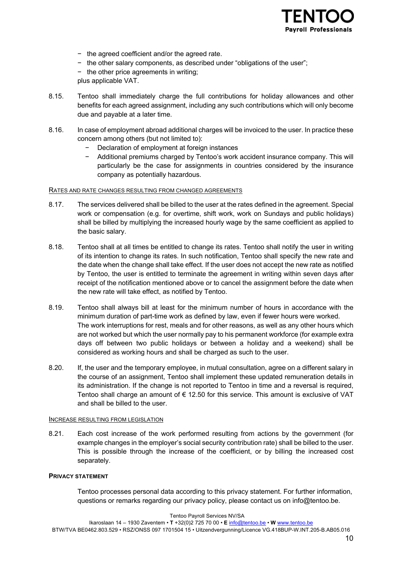

- − the agreed coefficient and/or the agreed rate.
- − the other salary components, as described under "obligations of the user";
- − the other price agreements in writing;
- plus applicable VAT.
- 8.15. Tentoo shall immediately charge the full contributions for holiday allowances and other benefits for each agreed assignment, including any such contributions which will only become due and payable at a later time.
- 8.16. In case of employment abroad additional charges will be invoiced to the user. In practice these concern among others (but not limited to):
	- Declaration of employment at foreign instances
	- − Additional premiums charged by Tentoo's work accident insurance company. This will particularly be the case for assignments in countries considered by the insurance company as potentially hazardous.

## RATES AND RATE CHANGES RESULTING FROM CHANGED AGREEMENTS

- 8.17. The services delivered shall be billed to the user at the rates defined in the agreement. Special work or compensation (e.g. for overtime, shift work, work on Sundays and public holidays) shall be billed by multiplying the increased hourly wage by the same coefficient as applied to the basic salary.
- 8.18. Tentoo shall at all times be entitled to change its rates. Tentoo shall notify the user in writing of its intention to change its rates. In such notification, Tentoo shall specify the new rate and the date when the change shall take effect. If the user does not accept the new rate as notified by Tentoo, the user is entitled to terminate the agreement in writing within seven days after receipt of the notification mentioned above or to cancel the assignment before the date when the new rate will take effect, as notified by Tentoo.
- 8.19. Tentoo shall always bill at least for the minimum number of hours in accordance with the minimum duration of part-time work as defined by law, even if fewer hours were worked. The work interruptions for rest, meals and for other reasons, as well as any other hours which are not worked but which the user normally pay to his permanent workforce (for example extra days off between two public holidays or between a holiday and a weekend) shall be considered as working hours and shall be charged as such to the user.
- 8.20. If, the user and the temporary employee, in mutual consultation, agree on a different salary in the course of an assignment, Tentoo shall implement these updated remuneration details in its administration. If the change is not reported to Tentoo in time and a reversal is required, Tentoo shall charge an amount of  $\epsilon$  12.50 for this service. This amount is exclusive of VAT and shall be billed to the user.

# INCREASE RESULTING FROM LEGISLATION

8.21. Each cost increase of the work performed resulting from actions by the government (for example changes in the employer's social security contribution rate) shall be billed to the user. This is possible through the increase of the coefficient, or by billing the increased cost separately.

# **PRIVACY STATEMENT**

Tentoo processes personal data according to this privacy statement. For further information, questions or remarks regarding our privacy policy, please contact us on info@tentoo.be.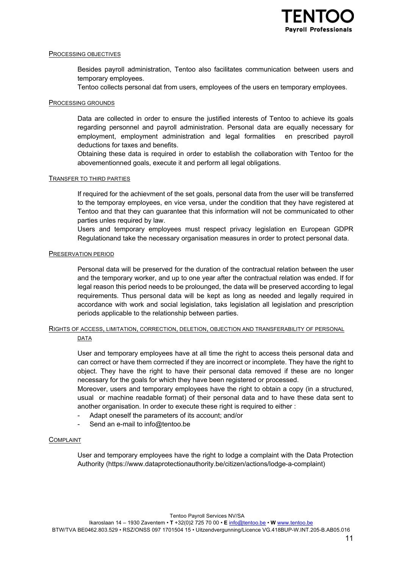

## PROCESSING OBJECTIVES

Besides payroll administration, Tentoo also facilitates communication between users and temporary employees.

Tentoo collects personal dat from users, employees of the users en temporary employees.

## PROCESSING GROUNDS

Data are collected in order to ensure the justified interests of Tentoo to achieve its goals regarding personnel and payroll administration. Personal data are equally necessary for employment, employment administration and legal formalities en prescribed payroll deductions for taxes and benefits.

Obtaining these data is required in order to establish the collaboration with Tentoo for the abovementionned goals, execute it and perform all legal obligations.

#### TRANSFER TO THIRD PARTIES

If required for the achievment of the set goals, personal data from the user will be transferred to the temporay employees, en vice versa, under the condition that they have registered at Tentoo and that they can guarantee that this information will not be communicated to other parties unles required by law.

Users and temporary employees must respect privacy legislation en European GDPR Regulationand take the necessary organisation measures in order to protect personal data.

## PRESERVATION PERIOD

Personal data will be preserved for the duration of the contractual relation between the user and the temporary worker, and up to one year after the contractual relation was ended. If for legal reason this period needs to be prolounged, the data will be preserved according to legal requirements. Thus personal data will be kept as long as needed and legally required in accordance with work and social legislation, taks legislation all legislation and prescription periods applicable to the relationship between parties.

# RIGHTS OF ACCESS, LIMITATION, CORRECTION, DELETION, OBJECTION AND TRANSFERABILITY OF PERSONAL

#### DATA

User and temporary employees have at all time the right to access theis personal data and can correct or have them corrrected if they are incorrect or incomplete. They have the right to object. They have the right to have their personal data removed if these are no longer necessary for the goals for which they have been registered or processed.

Moreover, users and temporary employees have the right to obtain a copy (in a structured, usual or machine readable format) of their personal data and to have these data sent to another organisation. In order to execute these right is required to either :

- Adapt oneself the parameters of its account; and/or
- Send an e-mail to info@tentoo.be

## COMPLAINT

User and temporary employees have the right to lodge a complaint with the Data Protection Authority (https://www.dataprotectionauthority.be/citizen/actions/lodge-a-complaint)